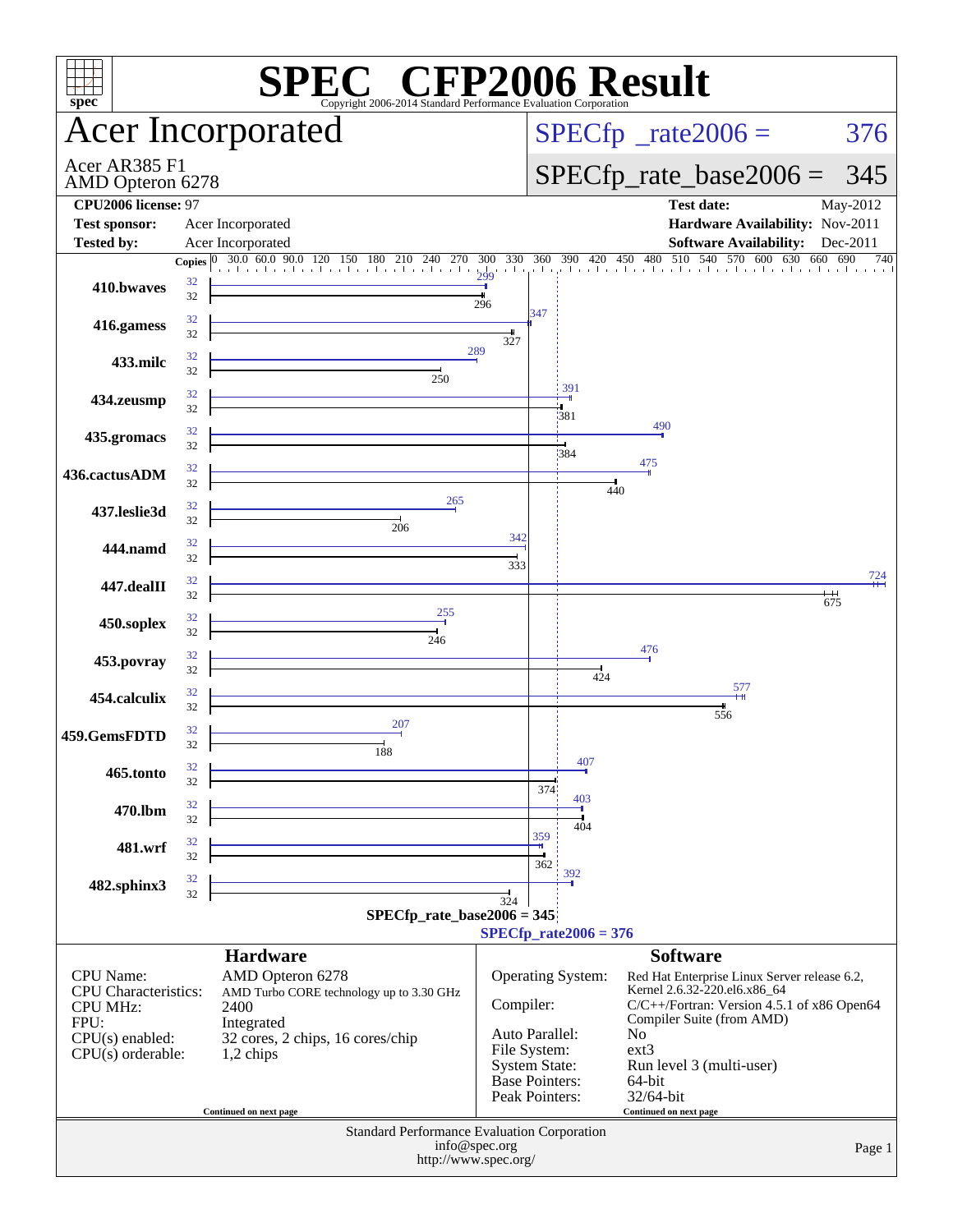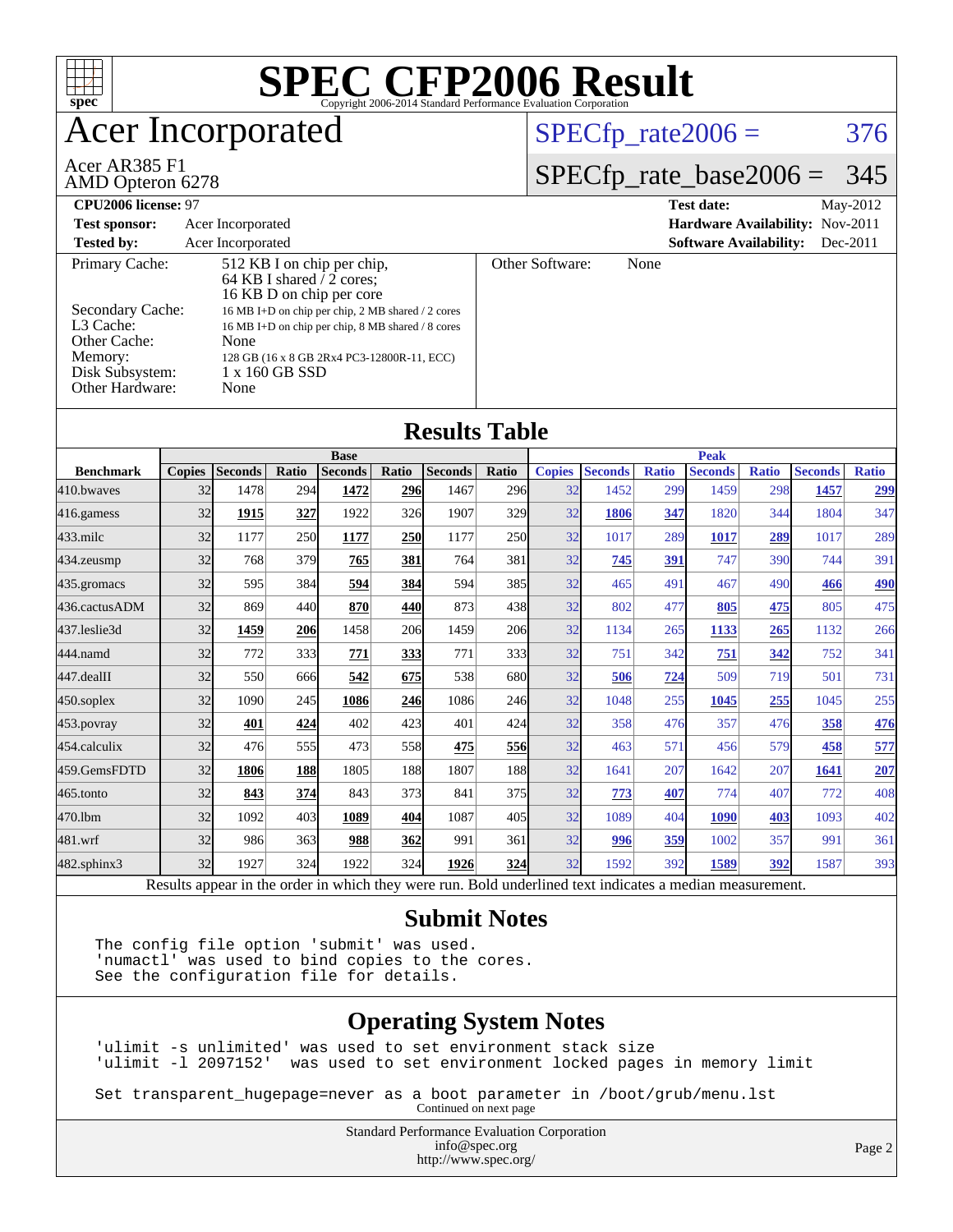

#### **[Submit Notes](http://www.spec.org/auto/cpu2006/Docs/result-fields.html#SubmitNotes)**

The config file option 'submit' was used. 'numactl' was used to bind copies to the cores. See the configuration file for details.

#### **[Operating System Notes](http://www.spec.org/auto/cpu2006/Docs/result-fields.html#OperatingSystemNotes)**

'ulimit -s unlimited' was used to set environment stack size 'ulimit -l 2097152' was used to set environment locked pages in memory limit

Set transparent\_hugepage=never as a boot parameter in /boot/grub/menu.lst Continued on next page

> Standard Performance Evaluation Corporation [info@spec.org](mailto:info@spec.org) <http://www.spec.org/>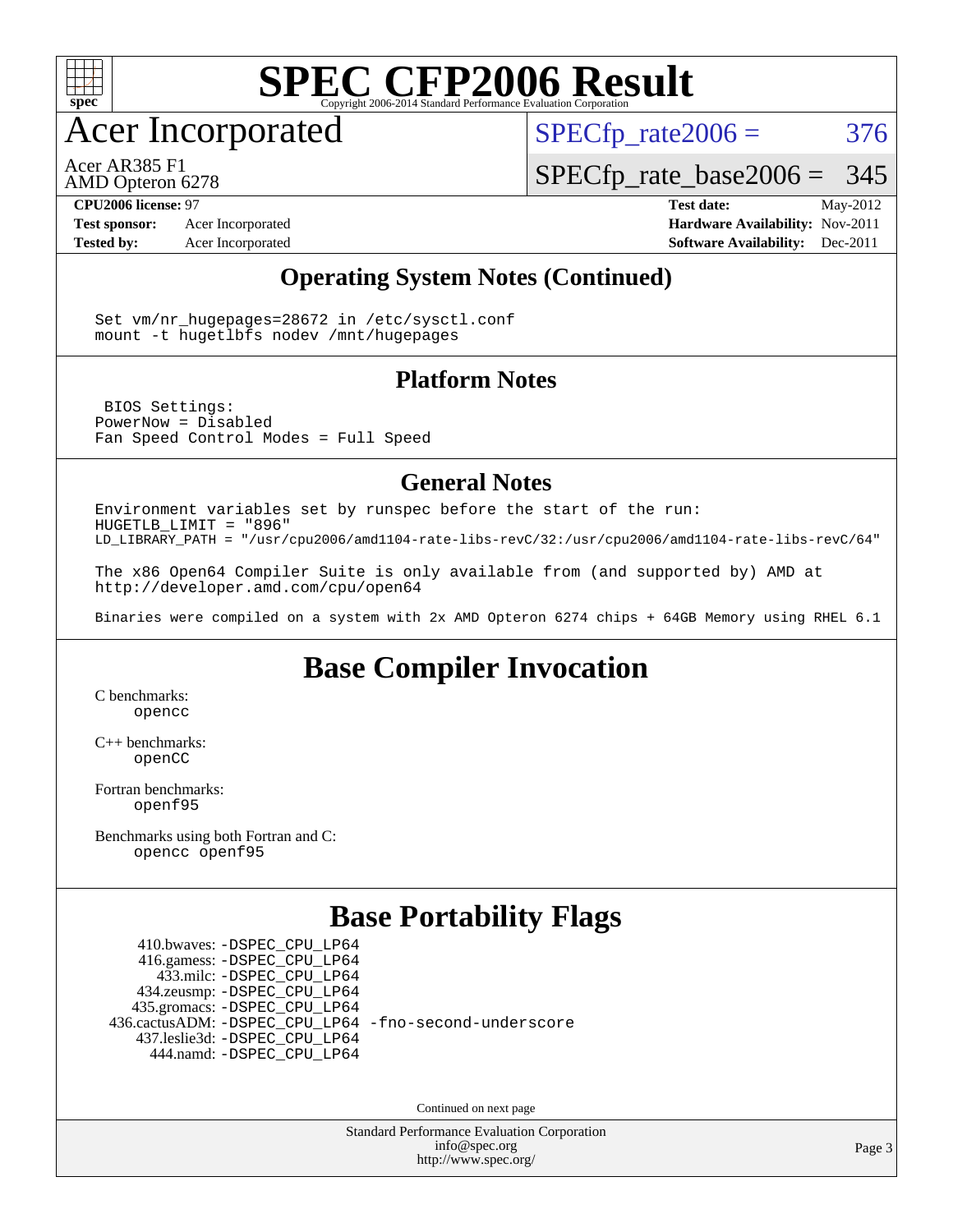

Acer Incorporated

 $SPECTp\_rate2006 = 376$ 

Acer AR385 F1

AMD Opteron 6278

[SPECfp\\_rate\\_base2006 =](http://www.spec.org/auto/cpu2006/Docs/result-fields.html#SPECfpratebase2006) 345

**[CPU2006 license:](http://www.spec.org/auto/cpu2006/Docs/result-fields.html#CPU2006license)** 97 **[Test date:](http://www.spec.org/auto/cpu2006/Docs/result-fields.html#Testdate)** May-2012 **[Test sponsor:](http://www.spec.org/auto/cpu2006/Docs/result-fields.html#Testsponsor)** Acer Incorporated **[Hardware Availability:](http://www.spec.org/auto/cpu2006/Docs/result-fields.html#HardwareAvailability)** Nov-2011 **[Tested by:](http://www.spec.org/auto/cpu2006/Docs/result-fields.html#Testedby)** Acer Incorporated **[Software Availability:](http://www.spec.org/auto/cpu2006/Docs/result-fields.html#SoftwareAvailability)** Dec-2011

#### **[Operating System Notes \(Continued\)](http://www.spec.org/auto/cpu2006/Docs/result-fields.html#OperatingSystemNotes)**

Set vm/nr hugepages=28672 in /etc/sysctl.conf mount -t hugetlbfs nodev /mnt/hugepages

#### **[Platform Notes](http://www.spec.org/auto/cpu2006/Docs/result-fields.html#PlatformNotes)**

 BIOS Settings: PowerNow = Disabled Fan Speed Control Modes = Full Speed

#### **[General Notes](http://www.spec.org/auto/cpu2006/Docs/result-fields.html#GeneralNotes)**

Environment variables set by runspec before the start of the run: HUGETLB\_LIMIT = "896" LD\_LIBRARY\_PATH = "/usr/cpu2006/amd1104-rate-libs-revC/32:/usr/cpu2006/amd1104-rate-libs-revC/64"

The x86 Open64 Compiler Suite is only available from (and supported by) AMD at <http://developer.amd.com/cpu/open64>

Binaries were compiled on a system with 2x AMD Opteron 6274 chips + 64GB Memory using RHEL 6.1

### **[Base Compiler Invocation](http://www.spec.org/auto/cpu2006/Docs/result-fields.html#BaseCompilerInvocation)**

[C benchmarks](http://www.spec.org/auto/cpu2006/Docs/result-fields.html#Cbenchmarks): [opencc](http://www.spec.org/cpu2006/results/res2012q3/cpu2006-20120525-22401.flags.html#user_CCbase_Fopencc)

[C++ benchmarks:](http://www.spec.org/auto/cpu2006/Docs/result-fields.html#CXXbenchmarks) [openCC](http://www.spec.org/cpu2006/results/res2012q3/cpu2006-20120525-22401.flags.html#user_CXXbase_FopenCC)

[Fortran benchmarks](http://www.spec.org/auto/cpu2006/Docs/result-fields.html#Fortranbenchmarks): [openf95](http://www.spec.org/cpu2006/results/res2012q3/cpu2006-20120525-22401.flags.html#user_FCbase_Fopenf95)

[Benchmarks using both Fortran and C](http://www.spec.org/auto/cpu2006/Docs/result-fields.html#BenchmarksusingbothFortranandC): [opencc](http://www.spec.org/cpu2006/results/res2012q3/cpu2006-20120525-22401.flags.html#user_CC_FCbase_Fopencc) [openf95](http://www.spec.org/cpu2006/results/res2012q3/cpu2006-20120525-22401.flags.html#user_CC_FCbase_Fopenf95)

### **[Base Portability Flags](http://www.spec.org/auto/cpu2006/Docs/result-fields.html#BasePortabilityFlags)**

 410.bwaves: [-DSPEC\\_CPU\\_LP64](http://www.spec.org/cpu2006/results/res2012q3/cpu2006-20120525-22401.flags.html#suite_basePORTABILITY410_bwaves_DSPEC_CPU_LP64) 416.gamess: [-DSPEC\\_CPU\\_LP64](http://www.spec.org/cpu2006/results/res2012q3/cpu2006-20120525-22401.flags.html#suite_basePORTABILITY416_gamess_DSPEC_CPU_LP64) 433.milc: [-DSPEC\\_CPU\\_LP64](http://www.spec.org/cpu2006/results/res2012q3/cpu2006-20120525-22401.flags.html#suite_basePORTABILITY433_milc_DSPEC_CPU_LP64) 434.zeusmp: [-DSPEC\\_CPU\\_LP64](http://www.spec.org/cpu2006/results/res2012q3/cpu2006-20120525-22401.flags.html#suite_basePORTABILITY434_zeusmp_DSPEC_CPU_LP64) 435.gromacs: [-DSPEC\\_CPU\\_LP64](http://www.spec.org/cpu2006/results/res2012q3/cpu2006-20120525-22401.flags.html#suite_basePORTABILITY435_gromacs_DSPEC_CPU_LP64) 436.cactusADM: [-DSPEC\\_CPU\\_LP64](http://www.spec.org/cpu2006/results/res2012q3/cpu2006-20120525-22401.flags.html#suite_basePORTABILITY436_cactusADM_DSPEC_CPU_LP64) [-fno-second-underscore](http://www.spec.org/cpu2006/results/res2012q3/cpu2006-20120525-22401.flags.html#user_baseFPORTABILITY436_cactusADM_F-fno-second-underscore) 437.leslie3d: [-DSPEC\\_CPU\\_LP64](http://www.spec.org/cpu2006/results/res2012q3/cpu2006-20120525-22401.flags.html#suite_basePORTABILITY437_leslie3d_DSPEC_CPU_LP64) 444.namd: [-DSPEC\\_CPU\\_LP64](http://www.spec.org/cpu2006/results/res2012q3/cpu2006-20120525-22401.flags.html#suite_basePORTABILITY444_namd_DSPEC_CPU_LP64)

Continued on next page

Standard Performance Evaluation Corporation [info@spec.org](mailto:info@spec.org) <http://www.spec.org/>

Page 3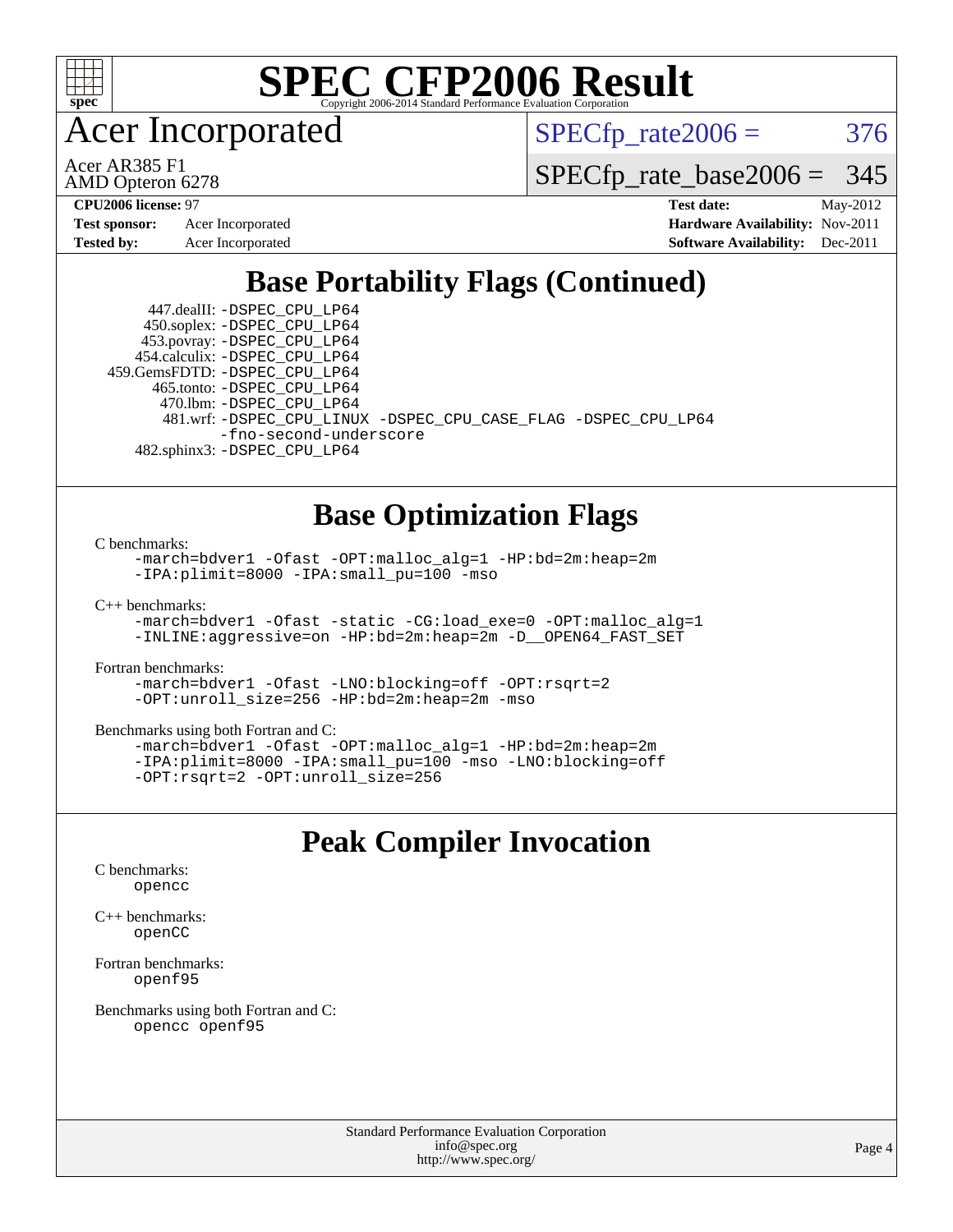

Acer Incorporated

 $SPECTp\_rate2006 = 376$ 

AMD Opteron 6278 Acer AR385 F1

[SPECfp\\_rate\\_base2006 =](http://www.spec.org/auto/cpu2006/Docs/result-fields.html#SPECfpratebase2006) 345

| <b>Test sponsor:</b> | Acer Incorporated |
|----------------------|-------------------|
| <b>Tested by:</b>    | Acer Incorporated |

**[CPU2006 license:](http://www.spec.org/auto/cpu2006/Docs/result-fields.html#CPU2006license)** 97 **[Test date:](http://www.spec.org/auto/cpu2006/Docs/result-fields.html#Testdate)** May-2012 **[Hardware Availability:](http://www.spec.org/auto/cpu2006/Docs/result-fields.html#HardwareAvailability)** Nov-2011 **[Software Availability:](http://www.spec.org/auto/cpu2006/Docs/result-fields.html#SoftwareAvailability)** Dec-2011

### **[Base Portability Flags \(Continued\)](http://www.spec.org/auto/cpu2006/Docs/result-fields.html#BasePortabilityFlags)**

 447.dealII: [-DSPEC\\_CPU\\_LP64](http://www.spec.org/cpu2006/results/res2012q3/cpu2006-20120525-22401.flags.html#suite_basePORTABILITY447_dealII_DSPEC_CPU_LP64) 450.soplex: [-DSPEC\\_CPU\\_LP64](http://www.spec.org/cpu2006/results/res2012q3/cpu2006-20120525-22401.flags.html#suite_basePORTABILITY450_soplex_DSPEC_CPU_LP64) 453.povray: [-DSPEC\\_CPU\\_LP64](http://www.spec.org/cpu2006/results/res2012q3/cpu2006-20120525-22401.flags.html#suite_basePORTABILITY453_povray_DSPEC_CPU_LP64) 454.calculix: [-DSPEC\\_CPU\\_LP64](http://www.spec.org/cpu2006/results/res2012q3/cpu2006-20120525-22401.flags.html#suite_basePORTABILITY454_calculix_DSPEC_CPU_LP64) 459.GemsFDTD: [-DSPEC\\_CPU\\_LP64](http://www.spec.org/cpu2006/results/res2012q3/cpu2006-20120525-22401.flags.html#suite_basePORTABILITY459_GemsFDTD_DSPEC_CPU_LP64) 465.tonto: [-DSPEC\\_CPU\\_LP64](http://www.spec.org/cpu2006/results/res2012q3/cpu2006-20120525-22401.flags.html#suite_basePORTABILITY465_tonto_DSPEC_CPU_LP64) 470.lbm: [-DSPEC\\_CPU\\_LP64](http://www.spec.org/cpu2006/results/res2012q3/cpu2006-20120525-22401.flags.html#suite_basePORTABILITY470_lbm_DSPEC_CPU_LP64) 481.wrf: [-DSPEC\\_CPU\\_LINUX](http://www.spec.org/cpu2006/results/res2012q3/cpu2006-20120525-22401.flags.html#b481.wrf_basePORTABILITY_DSPEC_CPU_LINUX) [-DSPEC\\_CPU\\_CASE\\_FLAG](http://www.spec.org/cpu2006/results/res2012q3/cpu2006-20120525-22401.flags.html#b481.wrf_basePORTABILITY_DSPEC_CPU_CASE_FLAG) [-DSPEC\\_CPU\\_LP64](http://www.spec.org/cpu2006/results/res2012q3/cpu2006-20120525-22401.flags.html#suite_basePORTABILITY481_wrf_DSPEC_CPU_LP64) [-fno-second-underscore](http://www.spec.org/cpu2006/results/res2012q3/cpu2006-20120525-22401.flags.html#user_baseFPORTABILITY481_wrf_F-fno-second-underscore) 482.sphinx3: [-DSPEC\\_CPU\\_LP64](http://www.spec.org/cpu2006/results/res2012q3/cpu2006-20120525-22401.flags.html#suite_basePORTABILITY482_sphinx3_DSPEC_CPU_LP64)

**[Base Optimization Flags](http://www.spec.org/auto/cpu2006/Docs/result-fields.html#BaseOptimizationFlags)**

[C benchmarks](http://www.spec.org/auto/cpu2006/Docs/result-fields.html#Cbenchmarks):

[-march=bdver1](http://www.spec.org/cpu2006/results/res2012q3/cpu2006-20120525-22401.flags.html#user_CCbase_F-march_fdb9f2653a6b3eaa60be4cf93a9ba5f3) [-Ofast](http://www.spec.org/cpu2006/results/res2012q3/cpu2006-20120525-22401.flags.html#user_CCbase_F-Ofast) [-OPT:malloc\\_alg=1](http://www.spec.org/cpu2006/results/res2012q3/cpu2006-20120525-22401.flags.html#user_CCbase_F-OPT:malloc_algorithm_58733815edefaa612c2ed769b716daa0) [-HP:bd=2m:heap=2m](http://www.spec.org/cpu2006/results/res2012q3/cpu2006-20120525-22401.flags.html#user_CCbase_F-HUGEPAGE_539c723a9f9bd1bd95cd839aeb740bae) [-IPA:plimit=8000](http://www.spec.org/cpu2006/results/res2012q3/cpu2006-20120525-22401.flags.html#user_CCbase_F-IPA:plimit_92cba83f3d47f09c7d5368fda93ddbd7) [-IPA:small\\_pu=100](http://www.spec.org/cpu2006/results/res2012q3/cpu2006-20120525-22401.flags.html#user_CCbase_F-IPA:small_pu_900a09767c6929d55c26ea3d32399996) [-mso](http://www.spec.org/cpu2006/results/res2012q3/cpu2006-20120525-22401.flags.html#user_CCbase_F-mso)

[C++ benchmarks:](http://www.spec.org/auto/cpu2006/Docs/result-fields.html#CXXbenchmarks)

[-march=bdver1](http://www.spec.org/cpu2006/results/res2012q3/cpu2006-20120525-22401.flags.html#user_CXXbase_F-march_fdb9f2653a6b3eaa60be4cf93a9ba5f3) [-Ofast](http://www.spec.org/cpu2006/results/res2012q3/cpu2006-20120525-22401.flags.html#user_CXXbase_F-Ofast) [-static](http://www.spec.org/cpu2006/results/res2012q3/cpu2006-20120525-22401.flags.html#user_CXXbase_F-static) [-CG:load\\_exe=0](http://www.spec.org/cpu2006/results/res2012q3/cpu2006-20120525-22401.flags.html#user_CXXbase_F-CG:load_exe_274d025dc8e91b4834366e9e44cd78e3) [-OPT:malloc\\_alg=1](http://www.spec.org/cpu2006/results/res2012q3/cpu2006-20120525-22401.flags.html#user_CXXbase_F-OPT:malloc_algorithm_58733815edefaa612c2ed769b716daa0) [-INLINE:aggressive=on](http://www.spec.org/cpu2006/results/res2012q3/cpu2006-20120525-22401.flags.html#user_CXXbase_F-INLINE:aggressive_e14807c0a1e56a6a83cb25ab07c7ae8a) [-HP:bd=2m:heap=2m](http://www.spec.org/cpu2006/results/res2012q3/cpu2006-20120525-22401.flags.html#user_CXXbase_F-HUGEPAGE_539c723a9f9bd1bd95cd839aeb740bae) [-D\\_\\_OPEN64\\_FAST\\_SET](http://www.spec.org/cpu2006/results/res2012q3/cpu2006-20120525-22401.flags.html#user_CXXbase_F-D__OPEN64_FAST_SET_294c6d8260f208640e5474aae24dc22e)

[Fortran benchmarks](http://www.spec.org/auto/cpu2006/Docs/result-fields.html#Fortranbenchmarks):

[-march=bdver1](http://www.spec.org/cpu2006/results/res2012q3/cpu2006-20120525-22401.flags.html#user_FCbase_F-march_fdb9f2653a6b3eaa60be4cf93a9ba5f3) [-Ofast](http://www.spec.org/cpu2006/results/res2012q3/cpu2006-20120525-22401.flags.html#user_FCbase_F-Ofast) [-LNO:blocking=off](http://www.spec.org/cpu2006/results/res2012q3/cpu2006-20120525-22401.flags.html#user_FCbase_F-LNO:blocking_806f5758a3ec85ed57cd5625787129f2) [-OPT:rsqrt=2](http://www.spec.org/cpu2006/results/res2012q3/cpu2006-20120525-22401.flags.html#user_FCbase_F-OPT:rsqrt_86267f9eadbaac77732db1e74eed7bf8) [-OPT:unroll\\_size=256](http://www.spec.org/cpu2006/results/res2012q3/cpu2006-20120525-22401.flags.html#user_FCbase_F-OPT:unroll_size_dfa492f42f50f580c3837c8b22d14f27) [-HP:bd=2m:heap=2m](http://www.spec.org/cpu2006/results/res2012q3/cpu2006-20120525-22401.flags.html#user_FCbase_F-HUGEPAGE_539c723a9f9bd1bd95cd839aeb740bae) [-mso](http://www.spec.org/cpu2006/results/res2012q3/cpu2006-20120525-22401.flags.html#user_FCbase_F-mso)

[Benchmarks using both Fortran and C](http://www.spec.org/auto/cpu2006/Docs/result-fields.html#BenchmarksusingbothFortranandC):

[-march=bdver1](http://www.spec.org/cpu2006/results/res2012q3/cpu2006-20120525-22401.flags.html#user_CC_FCbase_F-march_fdb9f2653a6b3eaa60be4cf93a9ba5f3) [-Ofast](http://www.spec.org/cpu2006/results/res2012q3/cpu2006-20120525-22401.flags.html#user_CC_FCbase_F-Ofast) [-OPT:malloc\\_alg=1](http://www.spec.org/cpu2006/results/res2012q3/cpu2006-20120525-22401.flags.html#user_CC_FCbase_F-OPT:malloc_algorithm_58733815edefaa612c2ed769b716daa0) [-HP:bd=2m:heap=2m](http://www.spec.org/cpu2006/results/res2012q3/cpu2006-20120525-22401.flags.html#user_CC_FCbase_F-HUGEPAGE_539c723a9f9bd1bd95cd839aeb740bae) [-IPA:plimit=8000](http://www.spec.org/cpu2006/results/res2012q3/cpu2006-20120525-22401.flags.html#user_CC_FCbase_F-IPA:plimit_92cba83f3d47f09c7d5368fda93ddbd7) [-IPA:small\\_pu=100](http://www.spec.org/cpu2006/results/res2012q3/cpu2006-20120525-22401.flags.html#user_CC_FCbase_F-IPA:small_pu_900a09767c6929d55c26ea3d32399996) [-mso](http://www.spec.org/cpu2006/results/res2012q3/cpu2006-20120525-22401.flags.html#user_CC_FCbase_F-mso) [-LNO:blocking=off](http://www.spec.org/cpu2006/results/res2012q3/cpu2006-20120525-22401.flags.html#user_CC_FCbase_F-LNO:blocking_806f5758a3ec85ed57cd5625787129f2) [-OPT:rsqrt=2](http://www.spec.org/cpu2006/results/res2012q3/cpu2006-20120525-22401.flags.html#user_CC_FCbase_F-OPT:rsqrt_86267f9eadbaac77732db1e74eed7bf8) [-OPT:unroll\\_size=256](http://www.spec.org/cpu2006/results/res2012q3/cpu2006-20120525-22401.flags.html#user_CC_FCbase_F-OPT:unroll_size_dfa492f42f50f580c3837c8b22d14f27)

#### **[Peak Compiler Invocation](http://www.spec.org/auto/cpu2006/Docs/result-fields.html#PeakCompilerInvocation)**

[C benchmarks](http://www.spec.org/auto/cpu2006/Docs/result-fields.html#Cbenchmarks): [opencc](http://www.spec.org/cpu2006/results/res2012q3/cpu2006-20120525-22401.flags.html#user_CCpeak_Fopencc)

[C++ benchmarks:](http://www.spec.org/auto/cpu2006/Docs/result-fields.html#CXXbenchmarks) [openCC](http://www.spec.org/cpu2006/results/res2012q3/cpu2006-20120525-22401.flags.html#user_CXXpeak_FopenCC)

[Fortran benchmarks](http://www.spec.org/auto/cpu2006/Docs/result-fields.html#Fortranbenchmarks): [openf95](http://www.spec.org/cpu2006/results/res2012q3/cpu2006-20120525-22401.flags.html#user_FCpeak_Fopenf95)

[Benchmarks using both Fortran and C](http://www.spec.org/auto/cpu2006/Docs/result-fields.html#BenchmarksusingbothFortranandC): [opencc](http://www.spec.org/cpu2006/results/res2012q3/cpu2006-20120525-22401.flags.html#user_CC_FCpeak_Fopencc) [openf95](http://www.spec.org/cpu2006/results/res2012q3/cpu2006-20120525-22401.flags.html#user_CC_FCpeak_Fopenf95)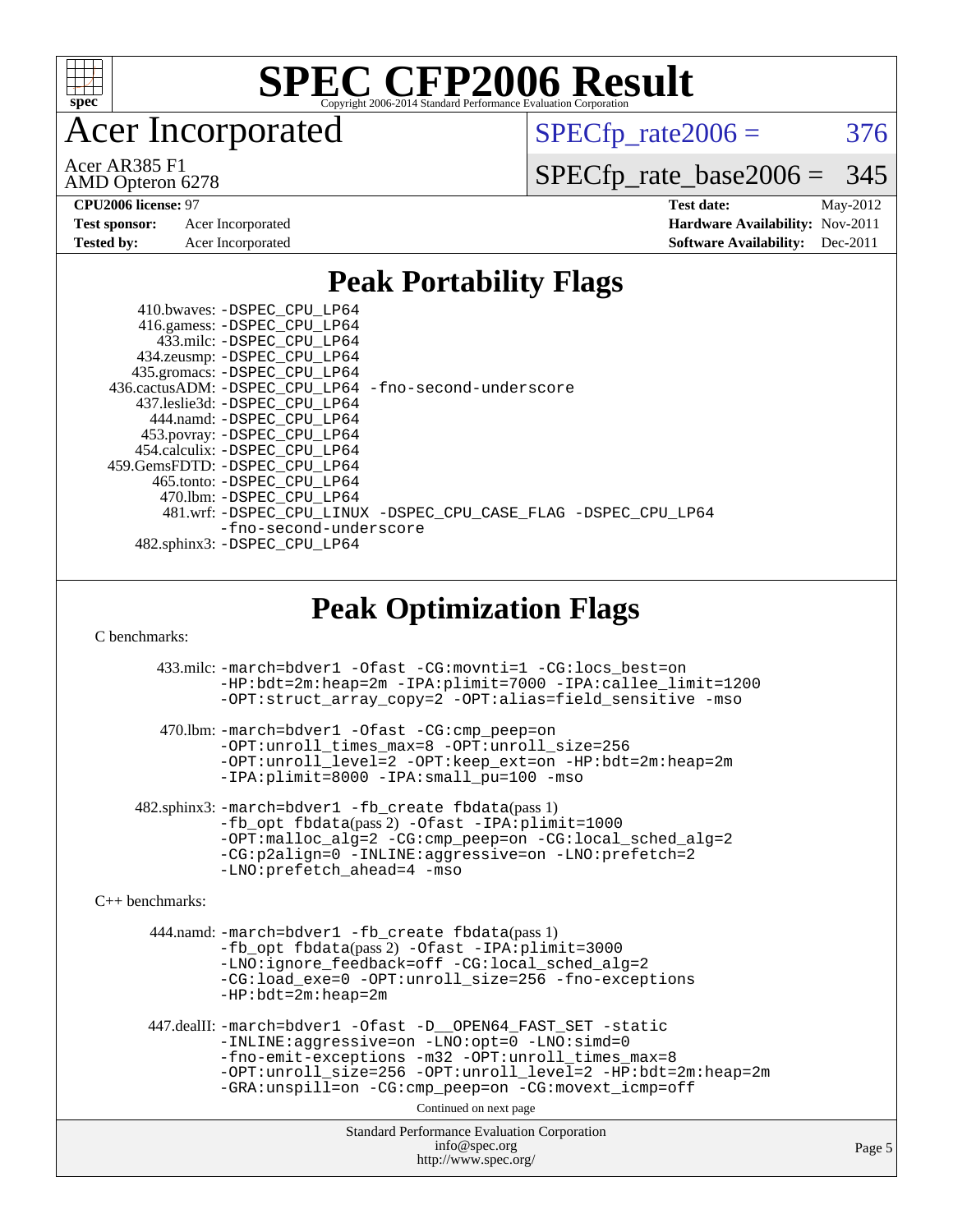

Acer Incorporated

 $SPECTp\_rate2006 = 376$ 

AMD Opteron 6278 Acer AR385 F1

[SPECfp\\_rate\\_base2006 =](http://www.spec.org/auto/cpu2006/Docs/result-fields.html#SPECfpratebase2006) 345

| <b>Test sponsor:</b> | Acer Incorporated |
|----------------------|-------------------|
| <b>Tested by:</b>    | Acer Incorporated |

**[CPU2006 license:](http://www.spec.org/auto/cpu2006/Docs/result-fields.html#CPU2006license)** 97 **[Test date:](http://www.spec.org/auto/cpu2006/Docs/result-fields.html#Testdate)** May-2012 **[Hardware Availability:](http://www.spec.org/auto/cpu2006/Docs/result-fields.html#HardwareAvailability)** Nov-2011 **[Software Availability:](http://www.spec.org/auto/cpu2006/Docs/result-fields.html#SoftwareAvailability)** Dec-2011

#### **[Peak Portability Flags](http://www.spec.org/auto/cpu2006/Docs/result-fields.html#PeakPortabilityFlags)**

 410.bwaves: [-DSPEC\\_CPU\\_LP64](http://www.spec.org/cpu2006/results/res2012q3/cpu2006-20120525-22401.flags.html#suite_peakPORTABILITY410_bwaves_DSPEC_CPU_LP64) 416.gamess: [-DSPEC\\_CPU\\_LP64](http://www.spec.org/cpu2006/results/res2012q3/cpu2006-20120525-22401.flags.html#suite_peakPORTABILITY416_gamess_DSPEC_CPU_LP64) 433.milc: [-DSPEC\\_CPU\\_LP64](http://www.spec.org/cpu2006/results/res2012q3/cpu2006-20120525-22401.flags.html#suite_peakPORTABILITY433_milc_DSPEC_CPU_LP64) 434.zeusmp: [-DSPEC\\_CPU\\_LP64](http://www.spec.org/cpu2006/results/res2012q3/cpu2006-20120525-22401.flags.html#suite_peakPORTABILITY434_zeusmp_DSPEC_CPU_LP64) 435.gromacs: [-DSPEC\\_CPU\\_LP64](http://www.spec.org/cpu2006/results/res2012q3/cpu2006-20120525-22401.flags.html#suite_peakPORTABILITY435_gromacs_DSPEC_CPU_LP64) 436.cactusADM: [-DSPEC\\_CPU\\_LP64](http://www.spec.org/cpu2006/results/res2012q3/cpu2006-20120525-22401.flags.html#suite_peakPORTABILITY436_cactusADM_DSPEC_CPU_LP64) [-fno-second-underscore](http://www.spec.org/cpu2006/results/res2012q3/cpu2006-20120525-22401.flags.html#user_peakFPORTABILITY436_cactusADM_F-fno-second-underscore) 437.leslie3d: [-DSPEC\\_CPU\\_LP64](http://www.spec.org/cpu2006/results/res2012q3/cpu2006-20120525-22401.flags.html#suite_peakPORTABILITY437_leslie3d_DSPEC_CPU_LP64) 444.namd: [-DSPEC\\_CPU\\_LP64](http://www.spec.org/cpu2006/results/res2012q3/cpu2006-20120525-22401.flags.html#suite_peakPORTABILITY444_namd_DSPEC_CPU_LP64) 453.povray: [-DSPEC\\_CPU\\_LP64](http://www.spec.org/cpu2006/results/res2012q3/cpu2006-20120525-22401.flags.html#suite_peakPORTABILITY453_povray_DSPEC_CPU_LP64) 454.calculix: [-DSPEC\\_CPU\\_LP64](http://www.spec.org/cpu2006/results/res2012q3/cpu2006-20120525-22401.flags.html#suite_peakPORTABILITY454_calculix_DSPEC_CPU_LP64) 459.GemsFDTD: [-DSPEC\\_CPU\\_LP64](http://www.spec.org/cpu2006/results/res2012q3/cpu2006-20120525-22401.flags.html#suite_peakPORTABILITY459_GemsFDTD_DSPEC_CPU_LP64) 465.tonto: [-DSPEC\\_CPU\\_LP64](http://www.spec.org/cpu2006/results/res2012q3/cpu2006-20120525-22401.flags.html#suite_peakPORTABILITY465_tonto_DSPEC_CPU_LP64) 470.lbm: [-DSPEC\\_CPU\\_LP64](http://www.spec.org/cpu2006/results/res2012q3/cpu2006-20120525-22401.flags.html#suite_peakPORTABILITY470_lbm_DSPEC_CPU_LP64) 481.wrf: [-DSPEC\\_CPU\\_LINUX](http://www.spec.org/cpu2006/results/res2012q3/cpu2006-20120525-22401.flags.html#b481.wrf_peakPORTABILITY_DSPEC_CPU_LINUX) [-DSPEC\\_CPU\\_CASE\\_FLAG](http://www.spec.org/cpu2006/results/res2012q3/cpu2006-20120525-22401.flags.html#b481.wrf_peakPORTABILITY_DSPEC_CPU_CASE_FLAG) [-DSPEC\\_CPU\\_LP64](http://www.spec.org/cpu2006/results/res2012q3/cpu2006-20120525-22401.flags.html#suite_peakPORTABILITY481_wrf_DSPEC_CPU_LP64) [-fno-second-underscore](http://www.spec.org/cpu2006/results/res2012q3/cpu2006-20120525-22401.flags.html#user_peakFPORTABILITY481_wrf_F-fno-second-underscore) 482.sphinx3: [-DSPEC\\_CPU\\_LP64](http://www.spec.org/cpu2006/results/res2012q3/cpu2006-20120525-22401.flags.html#suite_peakPORTABILITY482_sphinx3_DSPEC_CPU_LP64)

### **[Peak Optimization Flags](http://www.spec.org/auto/cpu2006/Docs/result-fields.html#PeakOptimizationFlags)**

[C benchmarks](http://www.spec.org/auto/cpu2006/Docs/result-fields.html#Cbenchmarks):

 433.milc: [-march=bdver1](http://www.spec.org/cpu2006/results/res2012q3/cpu2006-20120525-22401.flags.html#user_peakCCLD433_milc_F-march_fdb9f2653a6b3eaa60be4cf93a9ba5f3) [-Ofast](http://www.spec.org/cpu2006/results/res2012q3/cpu2006-20120525-22401.flags.html#user_peakCOPTIMIZE433_milc_F-Ofast) [-CG:movnti=1](http://www.spec.org/cpu2006/results/res2012q3/cpu2006-20120525-22401.flags.html#user_peakCOPTIMIZE433_milc_F-CG:movnti_c5191dc1f6da57382570e339f0143b6b) [-CG:locs\\_best=on](http://www.spec.org/cpu2006/results/res2012q3/cpu2006-20120525-22401.flags.html#user_peakCOPTIMIZE433_milc_F-CG:locs_best_44bf6c0eb80ac6a9a061cf7622f6bbb4) [-HP:bdt=2m:heap=2m](http://www.spec.org/cpu2006/results/res2012q3/cpu2006-20120525-22401.flags.html#user_peakCOPTIMIZE433_milc_F-HUGEPAGE_855e97383b49831f390a2af16fe7202f) [-IPA:plimit=7000](http://www.spec.org/cpu2006/results/res2012q3/cpu2006-20120525-22401.flags.html#user_peakCOPTIMIZE433_milc_F-IPA:plimit_9ab6b7e2a03099d305c7c932a2b08e7b) [-IPA:callee\\_limit=1200](http://www.spec.org/cpu2006/results/res2012q3/cpu2006-20120525-22401.flags.html#user_peakCOPTIMIZE433_milc_F-IPA:callee_limit_84570d230861a5f7e1ef8b9d520820bd) [-OPT:struct\\_array\\_copy=2](http://www.spec.org/cpu2006/results/res2012q3/cpu2006-20120525-22401.flags.html#user_peakCOPTIMIZE433_milc_F-OPT:struct_array_copy_974d2ad8eca78b540f82de85c2718c76) [-OPT:alias=field\\_sensitive](http://www.spec.org/cpu2006/results/res2012q3/cpu2006-20120525-22401.flags.html#user_peakCOPTIMIZE433_milc_F-OPT:alias_5e8b0b9ccca45811fc77b81277beeeb6) [-mso](http://www.spec.org/cpu2006/results/res2012q3/cpu2006-20120525-22401.flags.html#user_peakCOPTIMIZE433_milc_F-mso) 470.lbm: [-march=bdver1](http://www.spec.org/cpu2006/results/res2012q3/cpu2006-20120525-22401.flags.html#user_peakCCLD470_lbm_F-march_fdb9f2653a6b3eaa60be4cf93a9ba5f3) [-Ofast](http://www.spec.org/cpu2006/results/res2012q3/cpu2006-20120525-22401.flags.html#user_peakCOPTIMIZE470_lbm_F-Ofast) [-CG:cmp\\_peep=on](http://www.spec.org/cpu2006/results/res2012q3/cpu2006-20120525-22401.flags.html#user_peakCOPTIMIZE470_lbm_F-CG:cmp_peep_ab90c979e95bee1f1f617a32622424ed) [-OPT:unroll\\_times\\_max=8](http://www.spec.org/cpu2006/results/res2012q3/cpu2006-20120525-22401.flags.html#user_peakCOPTIMIZE470_lbm_F-OPT:unroll_times_max_1ad8852298ca2c36a68b2d007aae0e22) [-OPT:unroll\\_size=256](http://www.spec.org/cpu2006/results/res2012q3/cpu2006-20120525-22401.flags.html#user_peakCOPTIMIZE470_lbm_F-OPT:unroll_size_dfa492f42f50f580c3837c8b22d14f27)

[-OPT:unroll\\_level=2](http://www.spec.org/cpu2006/results/res2012q3/cpu2006-20120525-22401.flags.html#user_peakCOPTIMIZE470_lbm_F-OPT:unroll_level_2cd767e66711a193dd7aad8ffe1e4d20) [-OPT:keep\\_ext=on](http://www.spec.org/cpu2006/results/res2012q3/cpu2006-20120525-22401.flags.html#user_peakCOPTIMIZE470_lbm_F-OPT:keep_ext_4dbb9969188886aadf10437ce9577910) [-HP:bdt=2m:heap=2m](http://www.spec.org/cpu2006/results/res2012q3/cpu2006-20120525-22401.flags.html#user_peakCOPTIMIZE470_lbm_F-HUGEPAGE_855e97383b49831f390a2af16fe7202f) [-IPA:plimit=8000](http://www.spec.org/cpu2006/results/res2012q3/cpu2006-20120525-22401.flags.html#user_peakCOPTIMIZE470_lbm_F-IPA:plimit_92cba83f3d47f09c7d5368fda93ddbd7) [-IPA:small\\_pu=100](http://www.spec.org/cpu2006/results/res2012q3/cpu2006-20120525-22401.flags.html#user_peakCOPTIMIZE470_lbm_F-IPA:small_pu_900a09767c6929d55c26ea3d32399996) [-mso](http://www.spec.org/cpu2006/results/res2012q3/cpu2006-20120525-22401.flags.html#user_peakCOPTIMIZE470_lbm_F-mso)

 482.sphinx3: [-march=bdver1](http://www.spec.org/cpu2006/results/res2012q3/cpu2006-20120525-22401.flags.html#user_peakCCLD482_sphinx3_F-march_fdb9f2653a6b3eaa60be4cf93a9ba5f3) [-fb\\_create fbdata](http://www.spec.org/cpu2006/results/res2012q3/cpu2006-20120525-22401.flags.html#user_peakPASS1_CFLAGSPASS1_LDFLAGS482_sphinx3_F-fb_create_filename)(pass 1) [-fb\\_opt fbdata](http://www.spec.org/cpu2006/results/res2012q3/cpu2006-20120525-22401.flags.html#user_peakPASS2_CFLAGSPASS2_LDFLAGS482_sphinx3_F-fb_opt_filename)(pass 2) [-Ofast](http://www.spec.org/cpu2006/results/res2012q3/cpu2006-20120525-22401.flags.html#user_peakCOPTIMIZE482_sphinx3_F-Ofast) [-IPA:plimit=1000](http://www.spec.org/cpu2006/results/res2012q3/cpu2006-20120525-22401.flags.html#user_peakCOPTIMIZE482_sphinx3_F-IPA:plimit_a21635e8c676b861cbb49424034e8738) [-OPT:malloc\\_alg=2](http://www.spec.org/cpu2006/results/res2012q3/cpu2006-20120525-22401.flags.html#user_peakCOPTIMIZE482_sphinx3_F-OPT:malloc_algorithm_e62903d0840423b2a5cd674766328c33) [-CG:cmp\\_peep=on](http://www.spec.org/cpu2006/results/res2012q3/cpu2006-20120525-22401.flags.html#user_peakCOPTIMIZE482_sphinx3_F-CG:cmp_peep_ab90c979e95bee1f1f617a32622424ed) [-CG:local\\_sched\\_alg=2](http://www.spec.org/cpu2006/results/res2012q3/cpu2006-20120525-22401.flags.html#user_peakCOPTIMIZE482_sphinx3_F-CG:local_sched_alg_7e9cde87db6e5e7117cdd873e1f958ca) [-CG:p2align=0](http://www.spec.org/cpu2006/results/res2012q3/cpu2006-20120525-22401.flags.html#user_peakCOPTIMIZE482_sphinx3_F-CG:p2align_f0b0486d75f2be7d5254cfc84ff9845e) [-INLINE:aggressive=on](http://www.spec.org/cpu2006/results/res2012q3/cpu2006-20120525-22401.flags.html#user_peakCOPTIMIZE482_sphinx3_F-INLINE:aggressive_e14807c0a1e56a6a83cb25ab07c7ae8a) [-LNO:prefetch=2](http://www.spec.org/cpu2006/results/res2012q3/cpu2006-20120525-22401.flags.html#user_peakCOPTIMIZE482_sphinx3_F-LNO:prefetch_9aee81855ba0592a3c8a40ba7b041143) [-LNO:prefetch\\_ahead=4](http://www.spec.org/cpu2006/results/res2012q3/cpu2006-20120525-22401.flags.html#user_peakCOPTIMIZE482_sphinx3_F-LNO:prefetch_ahead_8c6859a25238ee4458253845ce09b91d) [-mso](http://www.spec.org/cpu2006/results/res2012q3/cpu2006-20120525-22401.flags.html#user_peakCOPTIMIZE482_sphinx3_F-mso)

[C++ benchmarks:](http://www.spec.org/auto/cpu2006/Docs/result-fields.html#CXXbenchmarks)

 444.namd: [-march=bdver1](http://www.spec.org/cpu2006/results/res2012q3/cpu2006-20120525-22401.flags.html#user_peakCXXLD444_namd_F-march_fdb9f2653a6b3eaa60be4cf93a9ba5f3) [-fb\\_create fbdata](http://www.spec.org/cpu2006/results/res2012q3/cpu2006-20120525-22401.flags.html#user_peakPASS1_CXXFLAGSPASS1_LDFLAGS444_namd_F-fb_create_filename)(pass 1) [-fb\\_opt fbdata](http://www.spec.org/cpu2006/results/res2012q3/cpu2006-20120525-22401.flags.html#user_peakPASS2_CXXFLAGSPASS2_LDFLAGS444_namd_F-fb_opt_filename)(pass 2) [-Ofast](http://www.spec.org/cpu2006/results/res2012q3/cpu2006-20120525-22401.flags.html#user_peakCXXOPTIMIZE444_namd_F-Ofast) [-IPA:plimit=3000](http://www.spec.org/cpu2006/results/res2012q3/cpu2006-20120525-22401.flags.html#user_peakCXXOPTIMIZE444_namd_F-IPA:plimit_1271b34fa8b6ba660886afb001b0afe7) [-LNO:ignore\\_feedback=off](http://www.spec.org/cpu2006/results/res2012q3/cpu2006-20120525-22401.flags.html#user_peakCXXOPTIMIZE444_namd_F-LNO:ignore_feedback_1d6d06f39185b277a955c10dfd0a9a73) [-CG:local\\_sched\\_alg=2](http://www.spec.org/cpu2006/results/res2012q3/cpu2006-20120525-22401.flags.html#user_peakCXXOPTIMIZE444_namd_F-CG:local_sched_alg_7e9cde87db6e5e7117cdd873e1f958ca) [-CG:load\\_exe=0](http://www.spec.org/cpu2006/results/res2012q3/cpu2006-20120525-22401.flags.html#user_peakCXXOPTIMIZE444_namd_F-CG:load_exe_274d025dc8e91b4834366e9e44cd78e3) [-OPT:unroll\\_size=256](http://www.spec.org/cpu2006/results/res2012q3/cpu2006-20120525-22401.flags.html#user_peakCXXOPTIMIZE444_namd_F-OPT:unroll_size_dfa492f42f50f580c3837c8b22d14f27) [-fno-exceptions](http://www.spec.org/cpu2006/results/res2012q3/cpu2006-20120525-22401.flags.html#user_peakCXXOPTIMIZE444_namd_F-fexceptions) [-HP:bdt=2m:heap=2m](http://www.spec.org/cpu2006/results/res2012q3/cpu2006-20120525-22401.flags.html#user_peakCXXOPTIMIZE444_namd_F-HUGEPAGE_855e97383b49831f390a2af16fe7202f)

 447.dealII: [-march=bdver1](http://www.spec.org/cpu2006/results/res2012q3/cpu2006-20120525-22401.flags.html#user_peakCXXLD447_dealII_F-march_fdb9f2653a6b3eaa60be4cf93a9ba5f3) [-Ofast](http://www.spec.org/cpu2006/results/res2012q3/cpu2006-20120525-22401.flags.html#user_peakCXXOPTIMIZE447_dealII_F-Ofast) [-D\\_\\_OPEN64\\_FAST\\_SET](http://www.spec.org/cpu2006/results/res2012q3/cpu2006-20120525-22401.flags.html#user_peakCXXOPTIMIZE447_dealII_F-D__OPEN64_FAST_SET_294c6d8260f208640e5474aae24dc22e) [-static](http://www.spec.org/cpu2006/results/res2012q3/cpu2006-20120525-22401.flags.html#user_peakCXXOPTIMIZE447_dealII_F-static) [-INLINE:aggressive=on](http://www.spec.org/cpu2006/results/res2012q3/cpu2006-20120525-22401.flags.html#user_peakCXXOPTIMIZE447_dealII_F-INLINE:aggressive_e14807c0a1e56a6a83cb25ab07c7ae8a) [-LNO:opt=0](http://www.spec.org/cpu2006/results/res2012q3/cpu2006-20120525-22401.flags.html#user_peakCXXOPTIMIZE447_dealII_F-LNO:opt_b91e8b13d06f45039299c6496cc69a5f) [-LNO:simd=0](http://www.spec.org/cpu2006/results/res2012q3/cpu2006-20120525-22401.flags.html#user_peakCXXOPTIMIZE447_dealII_F-LNO:simd_fe5269a1a2b4239f5b10f7374245fa5e) [-fno-emit-exceptions](http://www.spec.org/cpu2006/results/res2012q3/cpu2006-20120525-22401.flags.html#user_peakCXXOPTIMIZE447_dealII_F-fno-emit-exceptions) [-m32](http://www.spec.org/cpu2006/results/res2012q3/cpu2006-20120525-22401.flags.html#user_peakCXXOPTIMIZE447_dealII_F-m32) [-OPT:unroll\\_times\\_max=8](http://www.spec.org/cpu2006/results/res2012q3/cpu2006-20120525-22401.flags.html#user_peakCXXOPTIMIZE447_dealII_F-OPT:unroll_times_max_1ad8852298ca2c36a68b2d007aae0e22) [-OPT:unroll\\_size=256](http://www.spec.org/cpu2006/results/res2012q3/cpu2006-20120525-22401.flags.html#user_peakCXXOPTIMIZE447_dealII_F-OPT:unroll_size_dfa492f42f50f580c3837c8b22d14f27) [-OPT:unroll\\_level=2](http://www.spec.org/cpu2006/results/res2012q3/cpu2006-20120525-22401.flags.html#user_peakCXXOPTIMIZE447_dealII_F-OPT:unroll_level_2cd767e66711a193dd7aad8ffe1e4d20) [-HP:bdt=2m:heap=2m](http://www.spec.org/cpu2006/results/res2012q3/cpu2006-20120525-22401.flags.html#user_peakCXXOPTIMIZE447_dealII_F-HUGEPAGE_855e97383b49831f390a2af16fe7202f) [-GRA:unspill=on](http://www.spec.org/cpu2006/results/res2012q3/cpu2006-20120525-22401.flags.html#user_peakCXXOPTIMIZE447_dealII_F-GRA:unspill_1a6c98043856890311246be72b057593) [-CG:cmp\\_peep=on](http://www.spec.org/cpu2006/results/res2012q3/cpu2006-20120525-22401.flags.html#user_peakCXXOPTIMIZE447_dealII_F-CG:cmp_peep_ab90c979e95bee1f1f617a32622424ed) [-CG:movext\\_icmp=off](http://www.spec.org/cpu2006/results/res2012q3/cpu2006-20120525-22401.flags.html#user_peakCXXOPTIMIZE447_dealII_F-CG:movext_icmp_460c980612b8c1bf4cfe85e9a0188f7b)

Continued on next page

Standard Performance Evaluation Corporation [info@spec.org](mailto:info@spec.org) <http://www.spec.org/>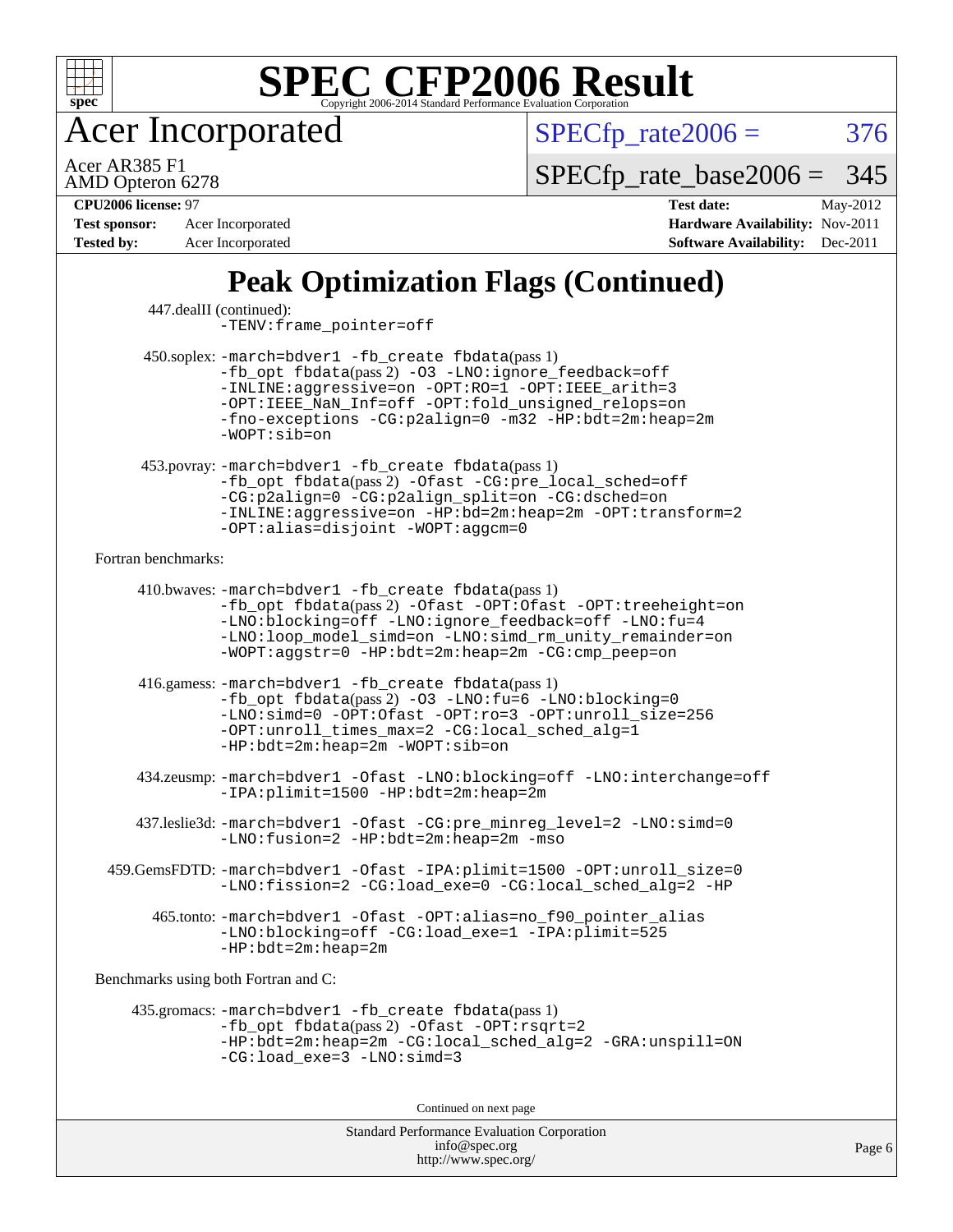

Acer Incorporated

 $SPECTp_rate2006 = 376$ 

AMD Opteron 6278 Acer AR385 F1

[SPECfp\\_rate\\_base2006 =](http://www.spec.org/auto/cpu2006/Docs/result-fields.html#SPECfpratebase2006) 345

**[Tested by:](http://www.spec.org/auto/cpu2006/Docs/result-fields.html#Testedby)** Acer Incorporated **[Software Availability:](http://www.spec.org/auto/cpu2006/Docs/result-fields.html#SoftwareAvailability)** Dec-2011

**[CPU2006 license:](http://www.spec.org/auto/cpu2006/Docs/result-fields.html#CPU2006license)** 97 **[Test date:](http://www.spec.org/auto/cpu2006/Docs/result-fields.html#Testdate)** May-2012 **[Test sponsor:](http://www.spec.org/auto/cpu2006/Docs/result-fields.html#Testsponsor)** Acer Incorporated **[Hardware Availability:](http://www.spec.org/auto/cpu2006/Docs/result-fields.html#HardwareAvailability)** Nov-2011

## **[Peak Optimization Flags \(Continued\)](http://www.spec.org/auto/cpu2006/Docs/result-fields.html#PeakOptimizationFlags)**

| 447.dealII (continued):              | -TENV: frame_pointer=off                                                                                                                                                                                                                                                                              |
|--------------------------------------|-------------------------------------------------------------------------------------------------------------------------------------------------------------------------------------------------------------------------------------------------------------------------------------------------------|
|                                      | 450.soplex: -march=bdver1 -fb_create fbdata(pass 1)<br>-fb_opt fbdata(pass 2) -03 -LNO:ignore_feedback=off<br>-INLINE:aggressive=on -OPT:RO=1 -OPT:IEEE_arith=3<br>-OPT: IEEE NaN Inf=off -OPT: fold unsigned relops=on<br>-fno-exceptions -CG:p2align=0 -m32 -HP:bdt=2m:heap=2m<br>$-WOPT: sib = on$ |
|                                      | 453.povray: -march=bdver1 -fb_create fbdata(pass 1)<br>-fb_opt fbdata(pass 2) -Ofast -CG:pre_local_sched=off<br>-CG:p2align=0 -CG:p2align_split=on -CG:dsched=on<br>-INLINE:aggressive=on -HP:bd=2m:heap=2m -OPT:transform=2<br>-OPT:alias=disjoint -WOPT:aggcm=0                                     |
| Fortran benchmarks:                  |                                                                                                                                                                                                                                                                                                       |
|                                      | 410.bwaves: -march=bdver1 -fb_create fbdata(pass 1)<br>-fb_opt fbdata(pass2) -Ofast -OPT:Ofast -OPT:treeheight=on<br>-LNO:blocking=off -LNO:ignore_feedback=off -LNO:fu=4<br>-LNO:loop_model_simd=on -LNO:simd_rm_unity_remainder=on<br>-WOPT:aggstr=0 -HP:bdt=2m:heap=2m -CG:cmp_peep=on             |
|                                      | 416.gamess: -march=bdver1 -fb_create fbdata(pass 1)<br>-fb_opt fbdata(pass 2) -03 -LNO:fu=6 -LNO:blocking=0<br>-LNO:simd=0 -OPT:Ofast -OPT:ro=3 -OPT:unroll_size=256<br>-OPT:unroll_times_max=2 -CG:local_sched_alg=1<br>$-HP:bdt=2m:heap=2m -WOPT:sib=on$                                            |
|                                      | 434.zeusmp:-march=bdver1 -Ofast -LNO:blocking=off -LNO:interchange=off<br>-IPA:plimit=1500 -HP:bdt=2m:heap=2m                                                                                                                                                                                         |
|                                      | 437.leslie3d: -march=bdver1 -Ofast -CG:pre_minreg_level=2 -LNO:simd=0<br>-LNO: fusion=2 -HP: bdt=2m: heap=2m -mso                                                                                                                                                                                     |
|                                      | 459.GemsFDTD: -march=bdver1 -Ofast -IPA:plimit=1500 -OPT:unroll_size=0<br>-LNO:fission=2 -CG:load_exe=0 -CG:local_sched_alg=2 -HP                                                                                                                                                                     |
|                                      | 465.tonto: -march=bdver1 -Ofast -OPT:alias=no_f90_pointer_alias<br>-LNO:blocking=off -CG:load_exe=1 -IPA:plimit=525<br>$-HP:bdt=2m:heap=2m$                                                                                                                                                           |
| Benchmarks using both Fortran and C: |                                                                                                                                                                                                                                                                                                       |
|                                      | 435.gromacs: -march=bdver1 -fb_create fbdata(pass 1)<br>$-fb$ opt fbdata(pass 2) -Ofast -OPT: rsqrt=2<br>-HP:bdt=2m:heap=2m -CG:local_sched_alg=2 -GRA:unspill=ON<br>$-CG:load\_exe=3 -LNO:simd=3$                                                                                                    |
| Continued on next page               |                                                                                                                                                                                                                                                                                                       |
|                                      |                                                                                                                                                                                                                                                                                                       |

Standard Performance Evaluation Corporation [info@spec.org](mailto:info@spec.org) <http://www.spec.org/>